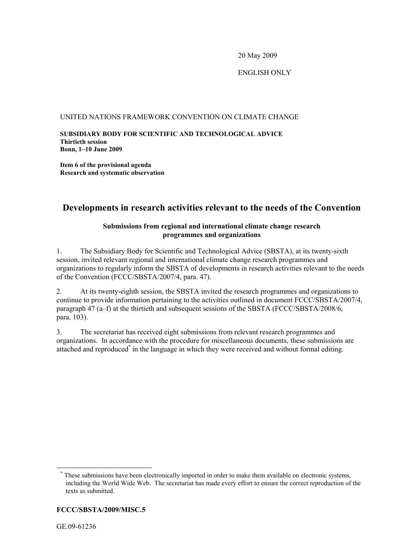20 May 2009

### ENGLISH ONLY

### UNITED NATIONS FRAMEWORK CONVENTION ON CLIMATE CHANGE

**SUBSIDIARY BODY FOR SCIENTIFIC AND TECHNOLOGICAL ADVICE Thirtieth session Bonn, 1-10 June 2009** 

**Item 6 of the provisional agenda Research and systematic observation** 

### **Developments in research activities relevant to the needs of the Convention**

### **Submissions from regional and international climate change research programmes and organizations**

1. The Subsidiary Body for Scientific and Technological Advice (SBSTA), at its twenty-sixth session, invited relevant regional and international climate change research programmes and organizations to regularly inform the SBSTA of developments in research activities relevant to the needs of the Convention (FCCC/SBSTA/2007/4, para. 47).

2. At its twenty-eighth session, the SBSTA invited the research programmes and organizations to continue to provide information pertaining to the activities outlined in document FCCC/SBSTA/2007/4, paragraph  $\overline{47}$  (a–f) at the thirtieth and subsequent sessions of the SBSTA (FCCC/SBSTA/2008/6, para. 103).

3. The secretariat has received eight submissions from relevant research programmes and organizations. In accordance with the procedure for miscellaneous documents, these submissions are attached and reproduced<sup>\*</sup> in the language in which they were received and without formal editing.

### **FCCC/SBSTA/2009/MISC.5**

<sup>\*</sup> These submissions have been electronically imported in order to make them available on electronic systems, including the World Wide Web. The secretariat has made every effort to ensure the correct reproduction of the texts as submitted.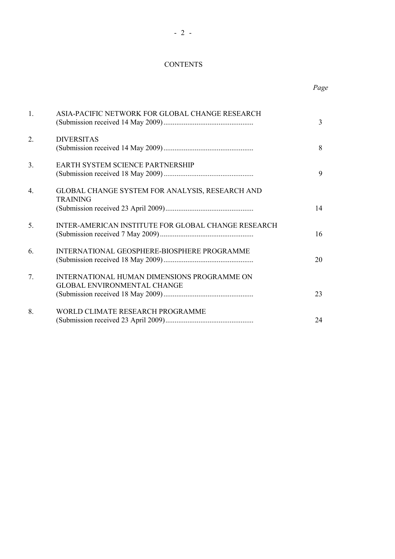### **CONTENTS**

#### *Page*

| $\mathbf{1}$ | ASIA-PACIFIC NETWORK FOR GLOBAL CHANGE RESEARCH                                   | $\overline{3}$ |
|--------------|-----------------------------------------------------------------------------------|----------------|
| 2.           | <b>DIVERSITAS</b>                                                                 | 8              |
| 3.           | <b>EARTH SYSTEM SCIENCE PARTNERSHIP</b>                                           | 9              |
| $4_{\cdot}$  | GLOBAL CHANGE SYSTEM FOR ANALYSIS, RESEARCH AND<br><b>TRAINING</b>                | 14             |
| 5            | <b>INTER-AMERICAN INSTITUTE FOR GLOBAL CHANGE RESEARCH</b>                        | 16             |
| 6            | INTERNATIONAL GEOSPHERE-BIOSPHERE PROGRAMME                                       | 20             |
| $7^{\circ}$  | INTERNATIONAL HUMAN DIMENSIONS PROGRAMME ON<br><b>GLOBAL ENVIRONMENTAL CHANGE</b> | 23             |
| 8.           | WORLD CLIMATE RESEARCH PROGRAMME                                                  | 24             |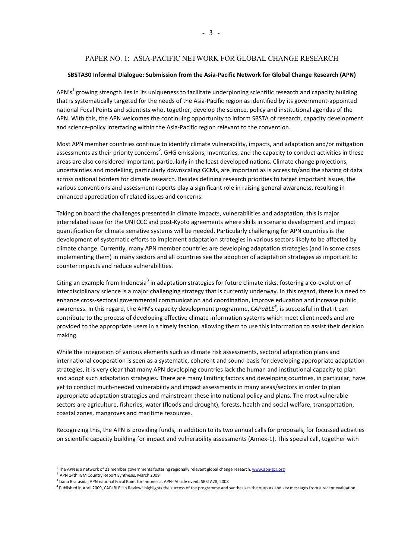### PAPER NO. 1: ASIA-PACIFIC NETWORK FOR GLOBAL CHANGE RESEARCH

#### **SBSTA30 Informal Dialogue: Submission from the Asia-Pacific Network for Global Change Research (APN)**

APN's<sup>1</sup> growing strength lies in its uniqueness to facilitate underpinning scientific research and capacity building that is systematically targeted for the needs of the Asia-Pacific region as identified by its government-appointed national Focal Points and scientists who, together, develop the science, policy and institutional agendas of the APN. With this, the APN welcomes the continuing opportunity to inform SBSTA of research, capacity development and science-policy interfacing within the Asia-Pacific region relevant to the convention.

Most APN member countries continue to identify climate vulnerability, impacts, and adaptation and/or mitigation assessments as their priority concerns<sup>2</sup>. GHG emissions, inventories, and the capacity to conduct activities in these areas are also considered important, particularly in the least developed nations. Climate change projections, uncertainties and modelling, particularly downscaling GCMs, are important as is access to/and the sharing of data across national borders for climate research. Besides defining research priorities to target important issues, the various conventions and assessment reports play a significant role in raising general awareness, resulting in enhanced appreciation of related issues and concerns.

Taking on board the challenges presented in climate impacts, vulnerabilities and adaptation, this is major interrelated issue for the UNFCCC and post-Kyoto agreements where skills in scenario development and impact quantification for climate sensitive systems will be needed. Particularly challenging for APN countries is the development of systematic efforts to implement adaptation strategies in various sectors likely to be affected by climate change. Currently, many APN member countries are developing adaptation strategies (and in some cases implementing them) in many sectors and all countries see the adoption of adaptation strategies as important to counter impacts and reduce vulnerabilities.

Citing an example from Indonesia<sup>3</sup> in adaptation strategies for future climate risks, fostering a co-evolution of interdisciplinary science is a major challenging strategy that is currently underway. In this regard, there is a need to enhance cross-sectoral governmental communication and coordination, improve education and increase public awareness. In this regard, the APN's capacity development programme, *CAPaBLE<sup>4</sup>*, is successful in that it can contribute to the process of developing effective climate information systems which meet client needs and are provided to the appropriate users in a timely fashion, allowing them to use this information to assist their decision making.

While the integration of various elements such as climate risk assessments, sectoral adaptation plans and international cooperation is seen as a systematic, coherent and sound basis for developing appropriate adaptation strategies, it is very clear that many APN developing countries lack the human and institutional capacity to plan and adopt such adaptation strategies. There are many limiting factors and developing countries, in particular, have yet to conduct much-needed vulnerability and impact assessments in many areas/sectors in order to plan appropriate adaptation strategies and mainstream these into national policy and plans. The most vulnerable sectors are agriculture, fisheries, water (floods and drought), forests, health and social welfare, transportation, coastal zones, mangroves and maritime resources.

Recognizing this, the APN is providing funds, in addition to its two annual calls for proposals, for focussed activities on scientific capacity building for impact and vulnerability assessments (Annex-1). This special call, together with

<sup>&</sup>lt;sup>1</sup> The APN is a network of 21 member governments fostering regionally relevant global change research. <u>www.apn-gcr.org</u><br><sup>2</sup> APN 14th IGM Country Report Synthesis, March 2009

<sup>&</sup>lt;sup>3</sup> Liana Bratasida, APN national Focal Point for Indonesia, APN-IAI side event, SBSTA28, 2008

<sup>&</sup>lt;sup>4</sup> Published in April 2009, CAPaBLE "In Review" highlights the success of the programme and synthesises the outputs and key messages from a recent evaluation.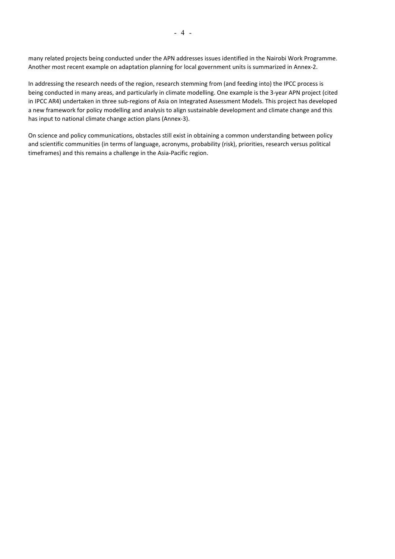many related projects being conducted under the APN addresses issues identified in the Nairobi Work Programme. Another most recent example on adaptation planning for local government units is summarized in Annex-2.

In addressing the research needs of the region, research stemming from (and feeding into) the IPCC process is being conducted in many areas, and particularly in climate modelling. One example is the 3-year APN project (cited in IPCC AR4) undertaken in three sub-regions of Asia on Integrated Assessment Models. This project has developed a new framework for policy modelling and analysis to align sustainable development and climate change and this has input to national climate change action plans (Annex-3).

On science and policy communications, obstacles still exist in obtaining a common understanding between policy and scientific communities (in terms of language, acronyms, probability (risk), priorities, research versus political timeframes) and this remains a challenge in the Asia-Pacific region.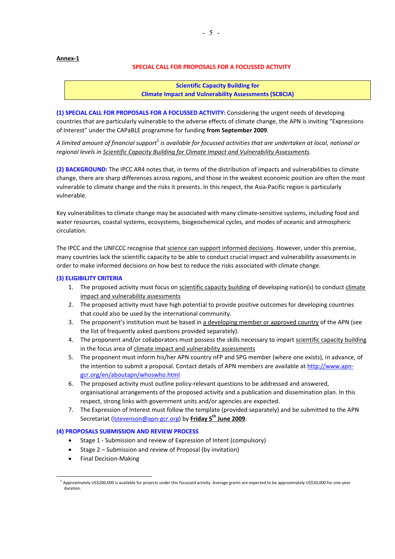#### **Annex-1**

#### **SPECIAL CALL FOR PROPOSALS FOR A FOCUSSED ACTIVITY**

**Scientific Capacity Building for Climate Impact and Vulnerability Assessments (SCBCIA)** 

**(1) SPECIAL CALL FOR PROPOSALS FOR A FOCUSSED ACTIVITY:** Considering the urgent needs of developing countries that are particularly vulnerable to the adverse effects of climate change, the APN is inviting "Expressions of Interest" under the CAPaBLE programme for funding from September 2009.

A limited amount of financial support<sup>5</sup> is available for focussed activities that are undertaken at local, national or *regional levels in Scientific Capacity Building for Climate Impact and Vulnerability Assessments.* 

**(2) BACKGROUND:** The IPCC AR4 notes that, in terms of the distribution of impacts and vulnerabilities to climate change, there are sharp differences across regions, and those in the weakest economic position are often the most vulnerable to climate change and the risks it presents. In this respect, the Asia-Pacific region is particularly vulnerable.

Key vulnerabilities to climate change may be associated with many climate-sensitive systems, including food and water resources, coastal systems, ecosystems, biogeochemical cycles, and modes of oceanic and atmospheric circulation.

The IPCC and the UNFCCC recognise that science can support informed decisions. However, under this premise, many countries lack the scientific capacity to be able to conduct crucial impact and vulnerability assessments in order to make informed decisions on how best to reduce the risks associated with climate change.

#### **(3) ELIGIBILITY CRITERIA**

- 1. The proposed activity must focus on scientific capacity building of developing nation(s) to conduct climate impact and vulnerability assessments
- 2. The proposed activity must have high potential to provide positive outcomes for developing countries that could also be used by the international community.
- 3. The proponent's institution must be based in a developing member or approved country of the APN (see the list of frequently asked questions provided separately).
- 4. The proponent and/or collaborators must possess the skills necessary to impart scientific capacity building in the focus area of climate impact and vulnerability assessments
- 5. The proponent must inform his/her APN country nFP and SPG member (where one exists), in advance, of the intention to submit a proposal. Contact details of APN members are available at http://www.apngcr.org/en/aboutapn/whoswho.html
- 6. The proposed activity must outline policy-relevant questions to be addressed and answered, organisational arrangements of the proposed activity and a publication and dissemination plan. In this respect, strong links with government units and/or agencies are expected.
- 7. The Expression of Interest must follow the template (provided separately) and be submitted to the APN Secretariat (*Istevenson@apn-gcr.org*) by Friday 5<sup>th</sup> June 2009.

#### **(4) PROPOSALS SUBMISSION AND REVIEW PROCESS**

- Stage 1 Submission and review of Expression of Intent (compulsory)
- Stage 2 Submission and review of Proposal (by invitation)
- Final Decision-Making

 $\overline{a}$ 

<sup>.&</sup>lt;br>Supproximately US\$200,000 is available for projects under this focussed activity. Average grants are expected to be approximately US\$30,000 for one-year duration.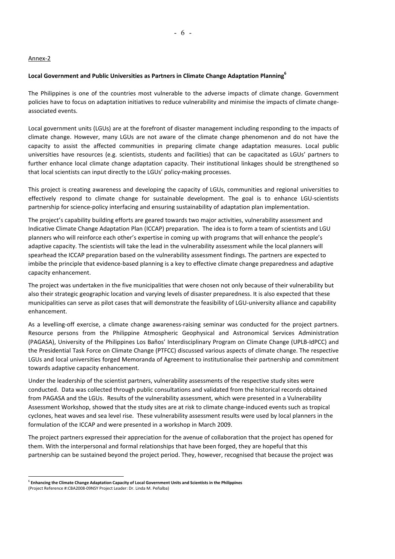#### Annex-2

### **Local Government and Public Universities as Partners in Climate Change Adaptation Planning<sup>6</sup>**

The Philippines is one of the countries most vulnerable to the adverse impacts of climate change. Government policies have to focus on adaptation initiatives to reduce vulnerability and minimise the impacts of climate changeassociated events.

Local government units (LGUs) are at the forefront of disaster management including responding to the impacts of climate change. However, many LGUs are not aware of the climate change phenomenon and do not have the capacity to assist the affected communities in preparing climate change adaptation measures. Local public universities have resources (e.g. scientists, students and facilities) that can be capacitated as LGUs' partners to further enhance local climate change adaptation capacity. Their institutional linkages should be strengthened so that local scientists can input directly to the LGUs' policy-making processes.

This project is creating awareness and developing the capacity of LGUs, communities and regional universities to effectively respond to climate change for sustainable development. The goal is to enhance LGU-scientists partnership for science-policy interfacing and ensuring sustainability of adaptation plan implementation.

The project's capability building efforts are geared towards two major activities, vulnerability assessment and Indicative Climate Change Adaptation Plan (ICCAP) preparation. The idea is to form a team of scientists and LGU planners who will reinforce each other's expertise in coming up with programs that will enhance the people's adaptive capacity. The scientists will take the lead in the vulnerability assessment while the local planners will spearhead the ICCAP preparation based on the vulnerability assessment findings. The partners are expected to imbibe the principle that evidence-based planning is a key to effective climate change preparedness and adaptive capacity enhancement.

The project was undertaken in the five municipalities that were chosen not only because of their vulnerability but also their strategic geographic location and varying levels of disaster preparedness. It is also expected that these municipalities can serve as pilot cases that will demonstrate the feasibility of LGU-university alliance and capability enhancement.

As a levelling-off exercise, a climate change awareness-raising seminar was conducted for the project partners. Resource persons from the Philippine Atmospheric Geophysical and Astronomical Services Administration (PAGASA), University of the Philippines Los Baños' Interdisciplinary Program on Climate Change (UPLB-IdPCC) and the Presidential Task Force on Climate Change (PTFCC) discussed various aspects of climate change. The respective LGUs and local universities forged Memoranda of Agreement to institutionalise their partnership and commitment towards adaptive capacity enhancement.

Under the leadership of the scientist partners, vulnerability assessments of the respective study sites were conducted. Data was collected through public consultations and validated from the historical records obtained from PAGASA and the LGUs. Results of the vulnerability assessment, which were presented in a Vulnerability Assessment Workshop, showed that the study sites are at risk to climate change-induced events such as tropical cyclones, heat waves and sea level rise. These vulnerability assessment results were used by local planners in the formulation of the ICCAP and were presented in a workshop in March 2009.

The project partners expressed their appreciation for the avenue of collaboration that the project has opened for them. With the interpersonal and formal relationships that have been forged, they are hopeful that this partnership can be sustained beyond the project period. They, however, recognised that because the project was

 $\overline{a}$ 

<sup>6</sup> **Enhancing the Climate Change Adaptation Capacity of Local Government Units and Scientists in the Philippines**

<sup>(</sup>Project Reference #:CBA2008-09NSY Project Leader: Dr. Linda M. PeÒalba)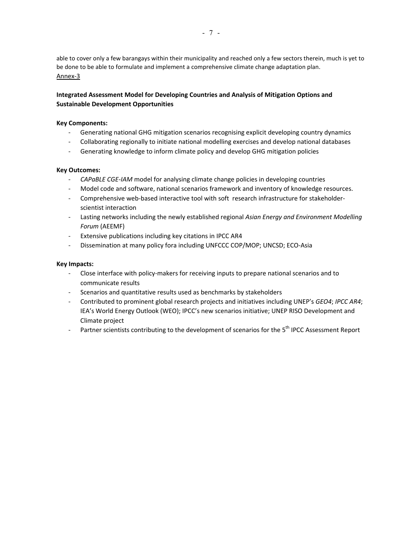able to cover only a few barangays within their municipality and reached only a few sectors therein, much is yet to be done to be able to formulate and implement a comprehensive climate change adaptation plan. Annex-3

### **Integrated Assessment Model for Developing Countries and Analysis of Mitigation Options and Sustainable Development Opportunities**

### **Key Components:**

- Generating national GHG mitigation scenarios recognising explicit developing country dynamics
- Collaborating regionally to initiate national modelling exercises and develop national databases
- Generating knowledge to inform climate policy and develop GHG mitigation policies

#### **Key Outcomes:**

- CAPaBLE CGE-IAM model for analysing climate change policies in developing countries
- Model code and software, national scenarios framework and inventory of knowledge resources.
- Comprehensive web-based interactive tool with soft research infrastructure for stakeholderscientist interaction
- Lasting networks including the newly established regional *Asian Energy and Environment Modelling Forum* (AEEMF)
- Extensive publications including key citations in IPCC AR4
- Dissemination at many policy fora including UNFCCC COP/MOP; UNCSD; ECO-Asia

#### **Key Impacts:**

- Close interface with policy-makers for receiving inputs to prepare national scenarios and to communicate results
- Scenarios and quantitative results used as benchmarks by stakeholders
- Contributed to prominent global research projects and initiatives including UNEPís *GEO4*; *IPCC AR4*; IEA's World Energy Outlook (WEO); IPCC's new scenarios initiative; UNEP RISO Development and Climate project
- Partner scientists contributing to the development of scenarios for the 5<sup>th</sup> IPCC Assessment Report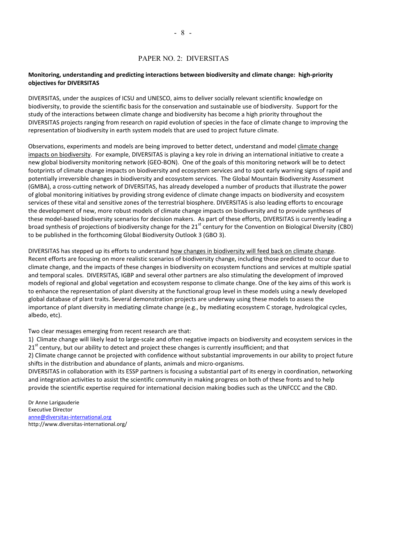### PAPER NO. 2: DIVERSITAS

#### **Monitoring, understanding and predicting interactions between biodiversity and climate change: high-priority objectives for DIVERSITAS**

DIVERSITAS, under the auspices of ICSU and UNESCO, aims to deliver socially relevant scientific knowledge on biodiversity, to provide the scientific basis for the conservation and sustainable use of biodiversity. Support for the study of the interactions between climate change and biodiversity has become a high priority throughout the DIVERSITAS projects ranging from research on rapid evolution of species in the face of climate change to improving the representation of biodiversity in earth system models that are used to project future climate.

Observations, experiments and models are being improved to better detect, understand and model climate change impacts on biodiversity. For example, DIVERSITAS is playing a key role in driving an international initiative to create a new global biodiversity monitoring network (GEO-BON). One of the goals of this monitoring network will be to detect footprints of climate change impacts on biodiversity and ecosystem services and to spot early warning signs of rapid and potentially irreversible changes in biodiversity and ecosystem services. The Global Mountain Biodiversity Assessment (GMBA), a cross-cutting network of DIVERSITAS, has already developed a number of products that illustrate the power of global monitoring initiatives by providing strong evidence of climate change impacts on biodiversity and ecosystem services of these vital and sensitive zones of the terrestrial biosphere. DIVERSITAS is also leading efforts to encourage the development of new, more robust models of climate change impacts on biodiversity and to provide syntheses of these model-based biodiversity scenarios for decision makers. As part of these efforts, DIVERSITAS is currently leading a broad synthesis of projections of biodiversity change for the 21<sup>st</sup> century for the Convention on Biological Diversity (CBD) to be published in the forthcoming Global Biodiversity Outlook 3 (GBO 3).

DIVERSITAS has stepped up its efforts to understand how changes in biodiversity will feed back on climate change. Recent efforts are focusing on more realistic scenarios of biodiversity change, including those predicted to occur due to climate change, and the impacts of these changes in biodiversity on ecosystem functions and services at multiple spatial and temporal scales. DIVERSITAS, IGBP and several other partners are also stimulating the development of improved models of regional and global vegetation and ecosystem response to climate change. One of the key aims of this work is to enhance the representation of plant diversity at the functional group level in these models using a newly developed global database of plant traits. Several demonstration projects are underway using these models to assess the importance of plant diversity in mediating climate change (e.g., by mediating ecosystem C storage, hydrological cycles, albedo, etc).

Two clear messages emerging from recent research are that:

1) Climate change will likely lead to large-scale and often negative impacts on biodiversity and ecosystem services in the 21<sup>st</sup> century, but our ability to detect and project these changes is currently insufficient; and that

2) Climate change cannot be projected with confidence without substantial improvements in our ability to project future shifts in the distribution and abundance of plants, animals and micro-organisms.

DIVERSITAS in collaboration with its ESSP partners is focusing a substantial part of its energy in coordination, networking and integration activities to assist the scientific community in making progress on both of these fronts and to help provide the scientific expertise required for international decision making bodies such as the UNFCCC and the CBD.

Dr Anne Larigauderie Executive Director anne@diversitas-international.org http://www.diversitas-international.org/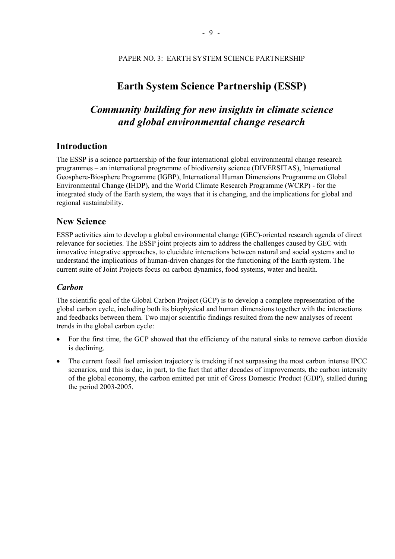### **Earth System Science Partnership (ESSP)**

## *Community building for new insights in climate science and global environmental change research*

### **Introduction**

The ESSP is a science partnership of the four international global environmental change research programmes – an international programme of biodiversity science (DIVERSITAS), International Geosphere-Biosphere Programme (IGBP), International Human Dimensions Programme on Global Environmental Change (IHDP), and the World Climate Research Programme (WCRP) - for the integrated study of the Earth system, the ways that it is changing, and the implications for global and regional sustainability.

### **New Science**

ESSP activities aim to develop a global environmental change (GEC)-oriented research agenda of direct relevance for societies. The ESSP joint projects aim to address the challenges caused by GEC with innovative integrative approaches, to elucidate interactions between natural and social systems and to understand the implications of human-driven changes for the functioning of the Earth system. The current suite of Joint Projects focus on carbon dynamics, food systems, water and health.

### *Carbon*

The scientific goal of the Global Carbon Project (GCP) is to develop a complete representation of the global carbon cycle, including both its biophysical and human dimensions together with the interactions and feedbacks between them. Two major scientific findings resulted from the new analyses of recent trends in the global carbon cycle:

- For the first time, the GCP showed that the efficiency of the natural sinks to remove carbon dioxide is declining.
- The current fossil fuel emission trajectory is tracking if not surpassing the most carbon intense IPCC scenarios, and this is due, in part, to the fact that after decades of improvements, the carbon intensity of the global economy, the carbon emitted per unit of Gross Domestic Product (GDP), stalled during the period 2003-2005.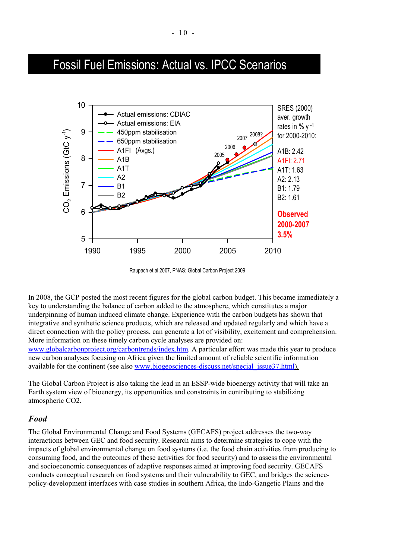# Fossil Fuel Emissions: Actual vs. IPCC Scenarios



Raupach et al 2007, PNAS; Global Carbon Project 2009

In 2008, the GCP posted the most recent figures for the global carbon budget. This became immediately a key to understanding the balance of carbon added to the atmosphere, which constitutes a major underpinning of human induced climate change. Experience with the carbon budgets has shown that integrative and synthetic science products, which are released and updated regularly and which have a direct connection with the policy process, can generate a lot of visibility, excitement and comprehension. More information on these timely carbon cycle analyses are provided on: www.globalcarbonproject.org/carbontrends/index.htm. A particular effort was made this year to produce new carbon analyses focusing on Africa given the limited amount of reliable scientific information available for the continent (see also www.biogeosciences-discuss.net/special\_issue37.html).

The Global Carbon Project is also taking the lead in an ESSP-wide bioenergy activity that will take an Earth system view of bioenergy, its opportunities and constraints in contributing to stabilizing atmospheric CO2.

### *Food*

The Global Environmental Change and Food Systems (GECAFS) project addresses the two-way interactions between GEC and food security. Research aims to determine strategies to cope with the impacts of global environmental change on food systems (i.e. the food chain activities from producing to consuming food, and the outcomes of these activities for food security) and to assess the environmental and socioeconomic consequences of adaptive responses aimed at improving food security. GECAFS conducts conceptual research on food systems and their vulnerability to GEC, and bridges the sciencepolicy-development interfaces with case studies in southern Africa, the Indo-Gangetic Plains and the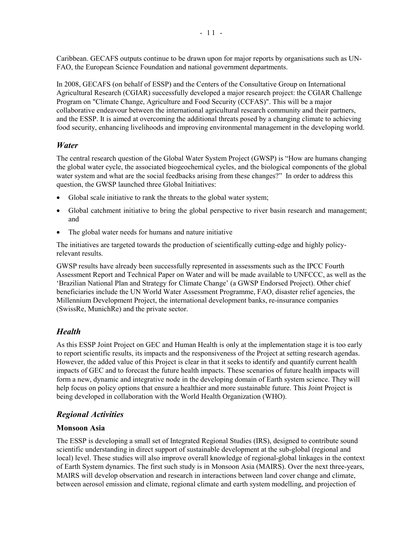Caribbean. GECAFS outputs continue to be drawn upon for major reports by organisations such as UN-FAO, the European Science Foundation and national government departments.

In 2008, GECAFS (on behalf of ESSP) and the Centers of the Consultative Group on International Agricultural Research (CGIAR) successfully developed a major research project: the CGIAR Challenge Program on "Climate Change, Agriculture and Food Security (CCFAS)". This will be a major collaborative endeavour between the international agricultural research community and their partners, and the ESSP. It is aimed at overcoming the additional threats posed by a changing climate to achieving food security, enhancing livelihoods and improving environmental management in the developing world.

### *Water*

The central research question of the Global Water System Project (GWSP) is "How are humans changing the global water cycle, the associated biogeochemical cycles, and the biological components of the global water system and what are the social feedbacks arising from these changes?" In order to address this question, the GWSP launched three Global Initiatives:

- Global scale initiative to rank the threats to the global water system;
- Global catchment initiative to bring the global perspective to river basin research and management; and
- The global water needs for humans and nature initiative

The initiatives are targeted towards the production of scientifically cutting-edge and highly policyrelevant results.

GWSP results have already been successfully represented in assessments such as the IPCC Fourth Assessment Report and Technical Paper on Water and will be made available to UNFCCC, as well as the 'Brazilian National Plan and Strategy for Climate Change' (a GWSP Endorsed Project). Other chief beneficiaries include the UN World Water Assessment Programme, FAO, disaster relief agencies, the Millennium Development Project, the international development banks, re-insurance companies (SwissRe, MunichRe) and the private sector.

### *Health*

As this ESSP Joint Project on GEC and Human Health is only at the implementation stage it is too early to report scientific results, its impacts and the responsiveness of the Project at setting research agendas. However, the added value of this Project is clear in that it seeks to identify and quantify current health impacts of GEC and to forecast the future health impacts. These scenarios of future health impacts will form a new, dynamic and integrative node in the developing domain of Earth system science. They will help focus on policy options that ensure a healthier and more sustainable future. This Joint Project is being developed in collaboration with the World Health Organization (WHO).

### *Regional Activities*

### **Monsoon Asia**

The ESSP is developing a small set of Integrated Regional Studies (IRS), designed to contribute sound scientific understanding in direct support of sustainable development at the sub-global (regional and local) level. These studies will also improve overall knowledge of regional-global linkages in the context of Earth System dynamics. The first such study is in Monsoon Asia (MAIRS). Over the next three-years, MAIRS will develop observation and research in interactions between land cover change and climate, between aerosol emission and climate, regional climate and earth system modelling, and projection of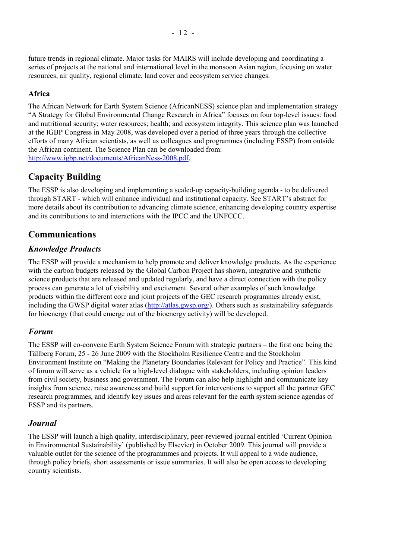future trends in regional climate. Major tasks for MAIRS will include developing and coordinating a series of projects at the national and international level in the monsoon Asian region, focusing on water resources, air quality, regional climate, land cover and ecosystem service changes.

### **Africa**

The African Network for Earth System Science (AfricanNESS) science plan and implementation strategy ìA Strategy for Global Environmental Change Research in Africaî focuses on four top-level issues: food and nutritional security; water resources; health; and ecosystem integrity. This science plan was launched at the IGBP Congress in May 2008, was developed over a period of three years through the collective efforts of many African scientists, as well as colleagues and programmes (including ESSP) from outside the African continent. The Science Plan can be downloaded from: http://www.igbp.net/documents/AfricanNess-2008.pdf.

### **Capacity Building**

The ESSP is also developing and implementing a scaled-up capacity-building agenda - to be delivered through START - which will enhance individual and institutional capacity. See START's abstract for more details about its contribution to advancing climate science, enhancing developing country expertise and its contributions to and interactions with the IPCC and the UNFCCC.

### **Communications**

### *Knowledge Products*

The ESSP will provide a mechanism to help promote and deliver knowledge products. As the experience with the carbon budgets released by the Global Carbon Project has shown, integrative and synthetic science products that are released and updated regularly, and have a direct connection with the policy process can generate a lot of visibility and excitement. Several other examples of such knowledge products within the different core and joint projects of the GEC research programmes already exist, including the GWSP digital water atlas (http://atlas.gwsp.org/). Others such as sustainability safeguards for bioenergy (that could emerge out of the bioenergy activity) will be developed.

### *Forum*

The ESSP will co-convene Earth System Science Forum with strategic partners – the first one being the T‰llberg Forum, 25 - 26 June 2009 with the Stockholm Resilience Centre and the Stockholm Environment Institute on "Making the Planetary Boundaries Relevant for Policy and Practice". This kind of forum will serve as a vehicle for a high-level dialogue with stakeholders, including opinion leaders from civil society, business and government. The Forum can also help highlight and communicate key insights from science, raise awareness and build support for interventions to support all the partner GEC research programmes, and identify key issues and areas relevant for the earth system science agendas of ESSP and its partners.

### *Journal*

The ESSP will launch a high quality, interdisciplinary, peer-reviewed journal entitled 'Current Opinion in Environmental Sustainability' (published by Elsevier) in October 2009. This journal will provide a valuable outlet for the science of the programmmes and projects. It will appeal to a wide audience, through policy briefs, short assessments or issue summaries. It will also be open access to developing country scientists.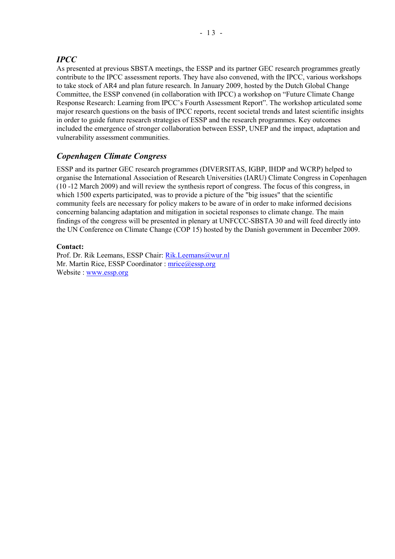### *IPCC*

As presented at previous SBSTA meetings, the ESSP and its partner GEC research programmes greatly contribute to the IPCC assessment reports. They have also convened, with the IPCC, various workshops to take stock of AR4 and plan future research. In January 2009, hosted by the Dutch Global Change Committee, the ESSP convened (in collaboration with IPCC) a workshop on "Future Climate Change Response Research: Learning from IPCC's Fourth Assessment Report". The workshop articulated some major research questions on the basis of IPCC reports, recent societal trends and latest scientific insights in order to guide future research strategies of ESSP and the research programmes. Key outcomes included the emergence of stronger collaboration between ESSP, UNEP and the impact, adaptation and vulnerability assessment communities.

### *Copenhagen Climate Congress*

ESSP and its partner GEC research programmes (DIVERSITAS, IGBP, IHDP and WCRP) helped to organise the International Association of Research Universities (IARU) Climate Congress in Copenhagen (10 -12 March 2009) and will review the synthesis report of congress. The focus of this congress, in which 1500 experts participated, was to provide a picture of the "big issues" that the scientific community feels are necessary for policy makers to be aware of in order to make informed decisions concerning balancing adaptation and mitigation in societal responses to climate change. The main findings of the congress will be presented in plenary at UNFCCC-SBSTA 30 and will feed directly into the UN Conference on Climate Change (COP 15) hosted by the Danish government in December 2009.

### **Contact:**

Prof. Dr. Rik Leemans, ESSP Chair: Rik.Leemans@wur.nl Mr. Martin Rice, ESSP Coordinator : mrice@essp.org Website : www.essp.org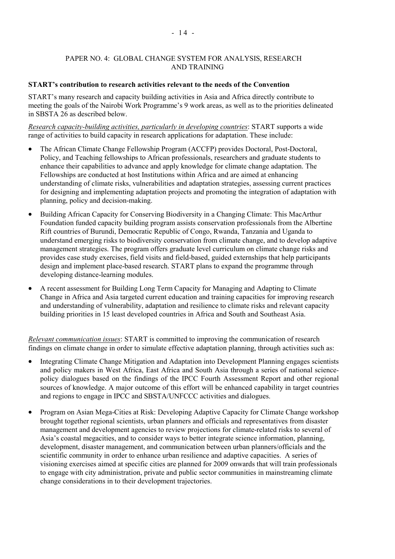### PAPER NO. 4: GLOBAL CHANGE SYSTEM FOR ANALYSIS, RESEARCH AND TRAINING

### **START's contribution to research activities relevant to the needs of the Convention**

START's many research and capacity building activities in Asia and Africa directly contribute to meeting the goals of the Nairobi Work Programme's 9 work areas, as well as to the priorities delineated in SBSTA 26 as described below.

*Research capacity-building activities, particularly in developing countries*: START supports a wide range of activities to build capacity in research applications for adaptation. These include:

- The African Climate Change Fellowship Program (ACCFP) provides Doctoral, Post-Doctoral, Policy, and Teaching fellowships to African professionals, researchers and graduate students to enhance their capabilities to advance and apply knowledge for climate change adaptation. The Fellowships are conducted at host Institutions within Africa and are aimed at enhancing understanding of climate risks, vulnerabilities and adaptation strategies, assessing current practices for designing and implementing adaptation projects and promoting the integration of adaptation with planning, policy and decision-making.
- Building African Capacity for Conserving Biodiversity in a Changing Climate: This MacArthur Foundation funded capacity building program assists conservation professionals from the Albertine Rift countries of Burundi, Democratic Republic of Congo, Rwanda, Tanzania and Uganda to understand emerging risks to biodiversity conservation from climate change, and to develop adaptive management strategies. The program offers graduate level curriculum on climate change risks and provides case study exercises, field visits and field-based, guided externships that help participants design and implement place-based research. START plans to expand the programme through developing distance-learning modules.
- A recent assessment for Building Long Term Capacity for Managing and Adapting to Climate Change in Africa and Asia targeted current education and training capacities for improving research and understanding of vulnerability, adaptation and resilience to climate risks and relevant capacity building priorities in 15 least developed countries in Africa and South and Southeast Asia.

*Relevant communication issues*: START is committed to improving the communication of research findings on climate change in order to simulate effective adaptation planning, through activities such as:

- Integrating Climate Change Mitigation and Adaptation into Development Planning engages scientists and policy makers in West Africa, East Africa and South Asia through a series of national sciencepolicy dialogues based on the findings of the IPCC Fourth Assessment Report and other regional sources of knowledge. A major outcome of this effort will be enhanced capability in target countries and regions to engage in IPCC and SBSTA/UNFCCC activities and dialogues.
- Program on Asian Mega-Cities at Risk: Developing Adaptive Capacity for Climate Change workshop brought together regional scientists, urban planners and officials and representatives from disaster management and development agencies to review projections for climate-related risks to several of Asiaís coastal megacities, and to consider ways to better integrate science information, planning, development, disaster management, and communication between urban planners/officials and the scientific community in order to enhance urban resilience and adaptive capacities. A series of visioning exercises aimed at specific cities are planned for 2009 onwards that will train professionals to engage with city administration, private and public sector communities in mainstreaming climate change considerations in to their development trajectories.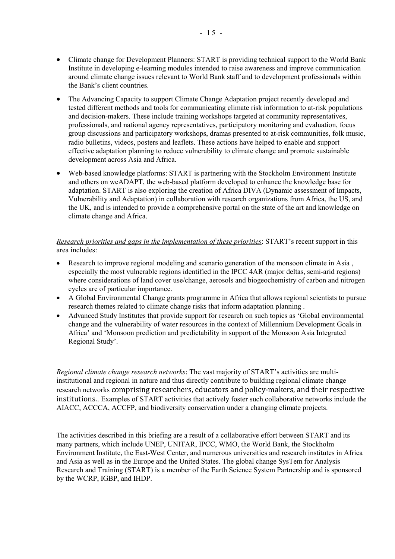- Climate change for Development Planners: START is providing technical support to the World Bank Institute in developing e-learning modules intended to raise awareness and improve communication around climate change issues relevant to World Bank staff and to development professionals within the Bank's client countries.
- The Advancing Capacity to support Climate Change Adaptation project recently developed and tested different methods and tools for communicating climate risk information to at-risk populations and decision-makers. These include training workshops targeted at community representatives, professionals, and national agency representatives, participatory monitoring and evaluation, focus group discussions and participatory workshops, dramas presented to at-risk communities, folk music, radio bulletins, videos, posters and leaflets. These actions have helped to enable and support effective adaptation planning to reduce vulnerability to climate change and promote sustainable development across Asia and Africa.
- Web-based knowledge platforms: START is partnering with the Stockholm Environment Institute and others on weADAPT, the web-based platform developed to enhance the knowledge base for adaptation. START is also exploring the creation of Africa DIVA (Dynamic assessment of Impacts, Vulnerability and Adaptation) in collaboration with research organizations from Africa, the US, and the UK, and is intended to provide a comprehensive portal on the state of the art and knowledge on climate change and Africa.

### *Research priorities and gaps in the implementation of these priorities: START's recent support in this* area includes:

- Research to improve regional modeling and scenario generation of the monsoon climate in Asia, especially the most vulnerable regions identified in the IPCC 4AR (major deltas, semi-arid regions) where considerations of land cover use/change, aerosols and biogeochemistry of carbon and nitrogen cycles are of particular importance.
- A Global Environmental Change grants programme in Africa that allows regional scientists to pursue research themes related to climate change risks that inform adaptation planning .
- Advanced Study Institutes that provide support for research on such topics as 'Global environmental change and the vulnerability of water resources in the context of Millennium Development Goals in Africa' and 'Monsoon prediction and predictability in support of the Monsoon Asia Integrated Regional Study'.

*Regional climate change research networks*: The vast majority of START's activities are multiinstitutional and regional in nature and thus directly contribute to building regional climate change research networks comprising researchers, educators and policy-makers, and their respective institutions.. Examples of START activities that actively foster such collaborative networks include the AIACC, ACCCA, ACCFP, and biodiversity conservation under a changing climate projects.

The activities described in this briefing are a result of a collaborative effort between START and its many partners, which include UNEP, UNITAR, IPCC, WMO, the World Bank, the Stockholm Environment Institute, the East-West Center, and numerous universities and research institutes in Africa and Asia as well as in the Europe and the United States. The global change SysTem for Analysis Research and Training (START) is a member of the Earth Science System Partnership and is sponsored by the WCRP, IGBP, and IHDP.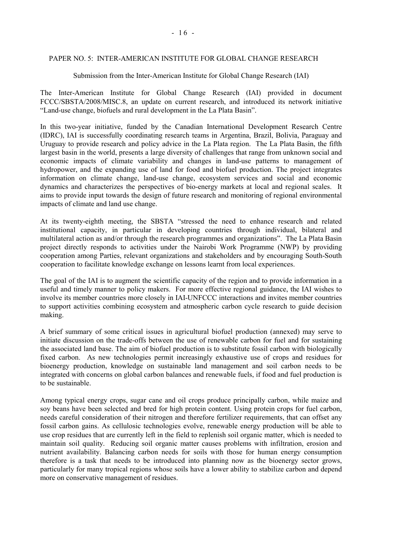### PAPER NO. 5: INTER-AMERICAN INSTITUTE FOR GLOBAL CHANGE RESEARCH

#### Submission from the Inter-American Institute for Global Change Research (IAI)

The Inter-American Institute for Global Change Research (IAI) provided in document FCCC/SBSTA/2008/MISC.8, an update on current research, and introduced its network initiative "Land-use change, biofuels and rural development in the La Plata Basin".

In this two-year initiative, funded by the Canadian International Development Research Centre (IDRC), IAI is successfully coordinating research teams in Argentina, Brazil, Bolivia, Paraguay and Uruguay to provide research and policy advice in the La Plata region. The La Plata Basin, the fifth largest basin in the world, presents a large diversity of challenges that range from unknown social and economic impacts of climate variability and changes in land-use patterns to management of hydropower, and the expanding use of land for food and biofuel production. The project integrates information on climate change, land-use change, ecosystem services and social and economic dynamics and characterizes the perspectives of bio-energy markets at local and regional scales. It aims to provide input towards the design of future research and monitoring of regional environmental impacts of climate and land use change.

At its twenty-eighth meeting, the SBSTA "stressed the need to enhance research and related institutional capacity, in particular in developing countries through individual, bilateral and multilateral action as and/or through the research programmes and organizations". The La Plata Basin project directly responds to activities under the Nairobi Work Programme (NWP) by providing cooperation among Parties, relevant organizations and stakeholders and by encouraging South-South cooperation to facilitate knowledge exchange on lessons learnt from local experiences.

The goal of the IAI is to augment the scientific capacity of the region and to provide information in a useful and timely manner to policy makers. For more effective regional guidance, the IAI wishes to involve its member countries more closely in IAI-UNFCCC interactions and invites member countries to support activities combining ecosystem and atmospheric carbon cycle research to guide decision making.

A brief summary of some critical issues in agricultural biofuel production (annexed) may serve to initiate discussion on the trade-offs between the use of renewable carbon for fuel and for sustaining the associated land base. The aim of biofuel production is to substitute fossil carbon with biologically fixed carbon. As new technologies permit increasingly exhaustive use of crops and residues for bioenergy production, knowledge on sustainable land management and soil carbon needs to be integrated with concerns on global carbon balances and renewable fuels, if food and fuel production is to be sustainable.

Among typical energy crops, sugar cane and oil crops produce principally carbon, while maize and soy beans have been selected and bred for high protein content. Using protein crops for fuel carbon, needs careful consideration of their nitrogen and therefore fertilizer requirements, that can offset any fossil carbon gains. As cellulosic technologies evolve, renewable energy production will be able to use crop residues that are currently left in the field to replenish soil organic matter, which is needed to maintain soil quality. Reducing soil organic matter causes problems with infiltration, erosion and nutrient availability. Balancing carbon needs for soils with those for human energy consumption therefore is a task that needs to be introduced into planning now as the bioenergy sector grows, particularly for many tropical regions whose soils have a lower ability to stabilize carbon and depend more on conservative management of residues.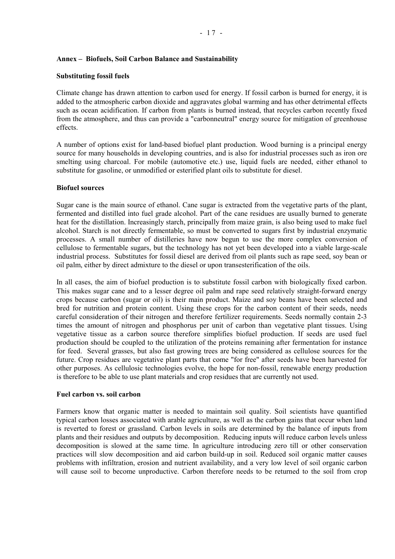### Annex – Biofuels, Soil Carbon Balance and Sustainability

### **Substituting fossil fuels**

Climate change has drawn attention to carbon used for energy. If fossil carbon is burned for energy, it is added to the atmospheric carbon dioxide and aggravates global warming and has other detrimental effects such as ocean acidification. If carbon from plants is burned instead, that recycles carbon recently fixed from the atmosphere, and thus can provide a "carbonneutral" energy source for mitigation of greenhouse effects.

A number of options exist for land-based biofuel plant production. Wood burning is a principal energy source for many households in developing countries, and is also for industrial processes such as iron ore smelting using charcoal. For mobile (automotive etc.) use, liquid fuels are needed, either ethanol to substitute for gasoline, or unmodified or esterified plant oils to substitute for diesel.

#### **Biofuel sources**

Sugar cane is the main source of ethanol. Cane sugar is extracted from the vegetative parts of the plant, fermented and distilled into fuel grade alcohol. Part of the cane residues are usually burned to generate heat for the distillation. Increasingly starch, principally from maize grain, is also being used to make fuel alcohol. Starch is not directly fermentable, so must be converted to sugars first by industrial enzymatic processes. A small number of distilleries have now begun to use the more complex conversion of cellulose to fermentable sugars, but the technology has not yet been developed into a viable large-scale industrial process. Substitutes for fossil diesel are derived from oil plants such as rape seed, soy bean or oil palm, either by direct admixture to the diesel or upon transesterification of the oils.

In all cases, the aim of biofuel production is to substitute fossil carbon with biologically fixed carbon. This makes sugar cane and to a lesser degree oil palm and rape seed relatively straight-forward energy crops because carbon (sugar or oil) is their main product. Maize and soy beans have been selected and bred for nutrition and protein content. Using these crops for the carbon content of their seeds, needs careful consideration of their nitrogen and therefore fertilizer requirements. Seeds normally contain 2-3 times the amount of nitrogen and phosphorus per unit of carbon than vegetative plant tissues. Using vegetative tissue as a carbon source therefore simplifies biofuel production. If seeds are used fuel production should be coupled to the utilization of the proteins remaining after fermentation for instance for feed. Several grasses, but also fast growing trees are being considered as cellulose sources for the future. Crop residues are vegetative plant parts that come "for free" after seeds have been harvested for other purposes. As cellulosic technologies evolve, the hope for non-fossil, renewable energy production is therefore to be able to use plant materials and crop residues that are currently not used.

### **Fuel carbon vs. soil carbon**

Farmers know that organic matter is needed to maintain soil quality. Soil scientists have quantified typical carbon losses associated with arable agriculture, as well as the carbon gains that occur when land is reverted to forest or grassland. Carbon levels in soils are determined by the balance of inputs from plants and their residues and outputs by decomposition. Reducing inputs will reduce carbon levels unless decomposition is slowed at the same time. In agriculture introducing zero till or other conservation practices will slow decomposition and aid carbon build-up in soil. Reduced soil organic matter causes problems with infiltration, erosion and nutrient availability, and a very low level of soil organic carbon will cause soil to become unproductive. Carbon therefore needs to be returned to the soil from crop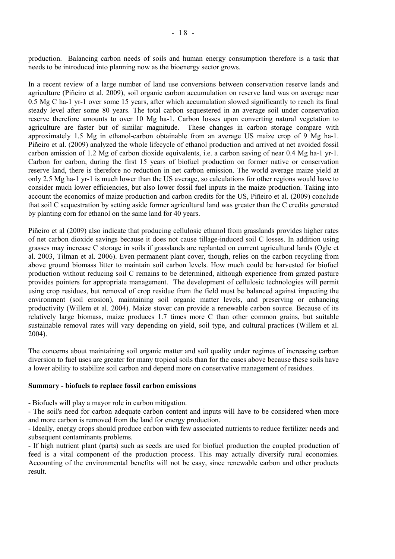production. Balancing carbon needs of soils and human energy consumption therefore is a task that needs to be introduced into planning now as the bioenergy sector grows.

In a recent review of a large number of land use conversions between conservation reserve lands and agriculture (Piñeiro et al. 2009), soil organic carbon accumulation on reserve land was on average near 0.5 Mg C ha-1 yr-1 over some 15 years, after which accumulation slowed significantly to reach its final steady level after some 80 years. The total carbon sequestered in an average soil under conservation reserve therefore amounts to over 10 Mg ha-1. Carbon losses upon converting natural vegetation to agriculture are faster but of similar magnitude. These changes in carbon storage compare with approximately 1.5 Mg in ethanol-carbon obtainable from an average US maize crop of 9 Mg ha-1. Piñeiro et al. (2009) analyzed the whole lifecycle of ethanol production and arrived at net avoided fossil carbon emission of 1.2 Mg of carbon dioxide equivalents, i.e. a carbon saving of near 0.4 Mg ha-1 yr-1. Carbon for carbon, during the first 15 years of biofuel production on former native or conservation reserve land, there is therefore no reduction in net carbon emission. The world average maize yield at only 2.5 Mg ha-1 yr-1 is much lower than the US average, so calculations for other regions would have to consider much lower efficiencies, but also lower fossil fuel inputs in the maize production. Taking into account the economics of maize production and carbon credits for the US, Piñeiro et al. (2009) conclude that soil C sequestration by setting aside former agricultural land was greater than the C credits generated by planting corn for ethanol on the same land for 40 years.

Piñeiro et al (2009) also indicate that producing cellulosic ethanol from grasslands provides higher rates of net carbon dioxide savings because it does not cause tillage-induced soil C losses. In addition using grasses may increase C storage in soils if grasslands are replanted on current agricultural lands (Ogle et al. 2003, Tilman et al. 2006). Even permanent plant cover, though, relies on the carbon recycling from above ground biomass litter to maintain soil carbon levels. How much could be harvested for biofuel production without reducing soil C remains to be determined, although experience from grazed pasture provides pointers for appropriate management. The development of cellulosic technologies will permit using crop residues, but removal of crop residue from the field must be balanced against impacting the environment (soil erosion), maintaining soil organic matter levels, and preserving or enhancing productivity (Willem et al. 2004). Maize stover can provide a renewable carbon source. Because of its relatively large biomass, maize produces 1.7 times more C than other common grains, but suitable sustainable removal rates will vary depending on yield, soil type, and cultural practices (Willem et al. 2004).

The concerns about maintaining soil organic matter and soil quality under regimes of increasing carbon diversion to fuel uses are greater for many tropical soils than for the cases above because these soils have a lower ability to stabilize soil carbon and depend more on conservative management of residues.

### **Summary - biofuels to replace fossil carbon emissions**

- Biofuels will play a mayor role in carbon mitigation.

- The soil's need for carbon adequate carbon content and inputs will have to be considered when more and more carbon is removed from the land for energy production.

- Ideally, energy crops should produce carbon with few associated nutrients to reduce fertilizer needs and subsequent contaminants problems.

- If high nutrient plant (parts) such as seeds are used for biofuel production the coupled production of feed is a vital component of the production process. This may actually diversify rural economies. Accounting of the environmental benefits will not be easy, since renewable carbon and other products result.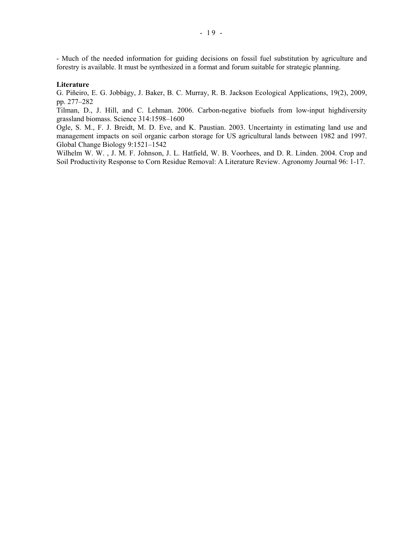- Much of the needed information for guiding decisions on fossil fuel substitution by agriculture and forestry is available. It must be synthesized in a format and forum suitable for strategic planning.

#### **Literature**

G. Piñeiro, E. G. Jobbágy, J. Baker, B. C. Murray, R. B. Jackson Ecological Applications, 19(2), 2009, pp. 277-282

Tilman, D., J. Hill, and C. Lehman. 2006. Carbon-negative biofuels from low-input highdiversity grassland biomass. Science 314:1598-1600

Ogle, S. M., F. J. Breidt, M. D. Eve, and K. Paustian. 2003. Uncertainty in estimating land use and management impacts on soil organic carbon storage for US agricultural lands between 1982 and 1997. Global Change Biology 9:1521-1542

Wilhelm W. W. , J. M. F. Johnson, J. L. Hatfield, W. B. Voorhees, and D. R. Linden. 2004. Crop and Soil Productivity Response to Corn Residue Removal: A Literature Review. Agronomy Journal 96: 1-17.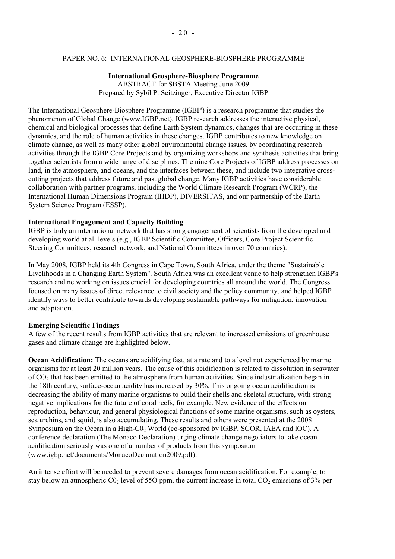### PAPER NO. 6: INTERNATIONAL GEOSPHERE-BIOSPHERE PROGRAMME

### **International Geosphere-Biosphere Programme**  ABSTRACT for SBSTA Meeting June 2009 Prepared by Sybil P. Seitzinger, Executive Director IGBP

The International Geosphere-Biosphere Programme (IGBP') is a research programme that studies the phenomenon of Global Change (www.IGBP.net). IGBP research addresses the interactive physical, chemical and biological processes that define Earth System dynamics, changes that are occurring in these dynamics, and the role of human activities in these changes. IGBP contributes to new knowledge on climate change, as well as many other global environmental change issues, by coordinating research activities through the IGBP Core Projects and by organizing workshops and synthesis activities that bring together scientists from a wide range of disciplines. The nine Core Projects of IGBP address processes on land, in the atmosphere, and oceans, and the interfaces between these, and include two integrative crosscutting projects that address future and past global change. Many IGBP activities have considerable collaboration with partner programs, including the World Climate Research Program (WCRP), the International Human Dimensions Program (IHDP), DIVERSITAS, and our partnership of the Earth System Science Program (ESSP).

### **International Engagement and Capacity Building**

IGBP is truly an international network that has strong engagement of scientists from the developed and developing world at all levels (e.g., IGBP Scientific Committee, Officers, Core Project Scientific Steering Committees, research network, and National Committees in over 70 countries).

In May 2008, IGBP held its 4th Congress in Cape Town, South Africa, under the theme "Sustainable Livelihoods in a Changing Earth System". South Africa was an excellent venue to help strengthen IGBP's research and networking on issues crucial for developing countries all around the world. The Congress focused on many issues of direct relevance to civil society and the policy community, and helped IGBP identify ways to better contribute towards developing sustainable pathways for mitigation, innovation and adaptation.

#### **Emerging Scientific Findings**

A few of the recent results from IGBP activities that are relevant to increased emissions of greenhouse gases and climate change are highlighted below.

**Ocean Acidification:** The oceans are acidifying fast, at a rate and to a level not experienced by marine organisms for at least 20 million years. The cause of this acidification is related to dissolution in seawater of CO2 that has been emitted to the atmosphere from human activities. Since industrialization began in the 18th century, surface-ocean acidity has increased by 30%. This ongoing ocean acidification is decreasing the ability of many marine organisms to build their shells and skeletal structure, with strong negative implications for the future of coral reefs, for example. New evidence of the effects on reproduction, behaviour, and general physiological functions of some marine organisms, such as oysters, sea urchins, and squid, is also accumulating. These results and others were presented at the 2008 Symposium on the Ocean in a High- $C_0$  World (co-sponsored by IGBP, SCOR, IAEA and lOC). A conference declaration (The Monaco Declaration) urging climate change negotiators to take ocean acidification seriously was one of a number of products from this symposium (www.igbp.net/documents/MonacoDeclaration2009.pdf).

An intense effort will be needed to prevent severe damages from ocean acidification. For example, to stay below an atmospheric  $CO_2$  level of 55O ppm, the current increase in total  $CO_2$  emissions of 3% per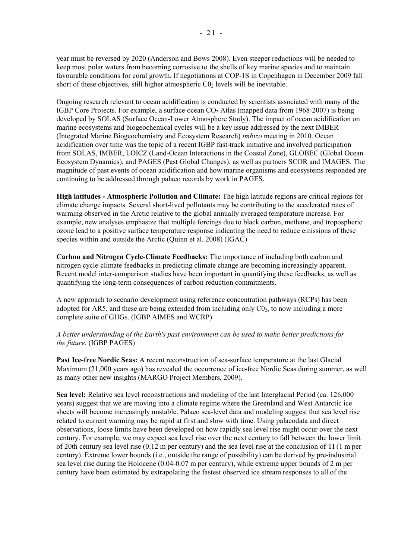year must be reversed by 2020 (Anderson and Bows 2008). Even steeper reductions will be needed to keep most polar waters from becoming corrosive to the shells of key marine species and to maintain favourable conditions for coral growth. If negotiations at COP-1S in Copenhagen in December 2009 fall short of these objectives, still higher atmospheric  $C_0$ , levels will be inevitable.

Ongoing research relevant to ocean acidification is conducted by scientists associated with many of the IGBP Core Projects. For example, a surface ocean  $CO<sub>2</sub>$  Atlas (mapped data from 1968-2007) is being developed by SOLAS (Surface Ocean-Lower Atmosphere Study). The impact of ocean acidification on marine ecosystems and biogeochemical cycles will be a key issue addressed by the next IMBER (Integrated Marine Biogeochemistry and Ecosystem Research) *imbizo* meeting in 2010. Ocean acidification over time was the topic of a recent IGBP fast-track initiative and involved participation from SOLAS, IMBER, LOICZ (Land-Ocean Interactions in the Coastal Zone), GLOBEC (Global Ocean Ecosystem Dynamics), and PAGES (Past Global Changes), as well as partners SCOR and IMAGES. The magnitude of past events of ocean acidification and how marine organisms and ecosystems responded are continuing to be addressed through palaeo records by work in PAGES.

**High latitudes - Atmospheric Pollution and Climate:** The high latitude regions are critical regions for climate change impacts. Several short-lived pollutants may be contributing to the accelerated rates of warming observed in the Arctic relative to the global annually averaged temperature increase. For example, new analyses emphasize that multiple forcings due to black carbon, methane, and tropospheric ozone lead to a positive surface temperature response indicating the need to reduce emissions of these species within and outside the Arctic (Quinn et al. 2008) (IGAC)

**Carbon and Nitrogen Cycle-Climate Feedbacks:** The importance of including both carbon and nitrogen cycle-climate feedbacks in predicting climate change are becoming increasingly apparent. Recent model inter-comparison studies have been important in quantifying these feedbacks, as well as quantifying the long-term consequences of carbon reduction commitments.

A new approach to scenario development using reference concentration pathways (RCPs) has been adopted for AR5, and these are being extended from including only  $C_2$ , to now including a more complete suite of GHGs. (IGBP AIMES and WCRP)

*A better understanding of the Earth's past environment can be used to make better predictions for the future.* (IGBP PAGES)

**Past Ice-free Nordic Seas:** A recent reconstruction of sea-surface temperature at the last Glacial Maximum (21,000 years ago) has revealed the occurrence of ice-free Nordic Seas during summer, as well as many other new insights (MARGO Project Members, 2009).

**Sea level:** Relative sea level reconstructions and modeling of the last Interglacial Period (ca. 126,000 years) suggest that we are moving into a climate regime where the Greenland and West Antarctic ice sheets will become increasingly unstable. Palaeo sea-level data and modeling suggest that sea level rise related to current warming may be rapid at first and slow with time. Using palaeodata and direct observations, loose limits have been developed on how rapidly sea level rise might occur over the next century. For example, we may expect sea level rise over the next century to fall between the lower limit of 20th century sea level rise (0.12 m per century) and the sea level rise at the conclusion of TI (1 m per century). Extreme lower bounds (i.e., outside the range of possibility) can be derived by pre-industrial sea level rise during the Holocene (0.04-0.07 m per century), while extreme upper bounds of 2 m per century have been estimated by extrapolating the fastest observed ice stream responses to all of the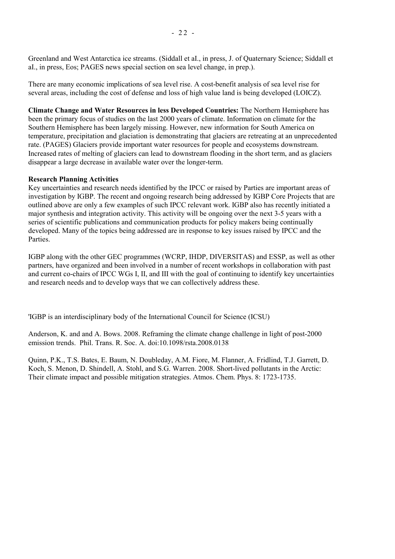Greenland and West Antarctica ice streams. (Siddall et aI., in press, J. of Quaternary Science; Siddall et aI., in press, Eos; PAGES news special section on sea level change, in prep.).

There are many economic implications of sea level rise. A cost-benefit analysis of sea level rise for several areas, including the cost of defense and loss of high value land is being developed (LOICZ).

**Climate Change and Water Resources in less Developed Countries:** The Northern Hemisphere has been the primary focus of studies on the last 2000 years of climate. Information on climate for the Southern Hemisphere has been largely missing. However, new information for South America on temperature, precipitation and glaciation is demonstrating that glaciers are retreating at an unprecedented rate. (PAGES) Glaciers provide important water resources for people and ecosystems downstream. Increased rates of melting of glaciers can lead to downstream flooding in the short term, and as glaciers disappear a large decrease in available water over the longer-term.

### **Research Planning Activities**

Key uncertainties and research needs identified by the IPCC or raised by Parties are important areas of investigation by IGBP. The recent and ongoing research being addressed by IGBP Core Projects that are outlined above are only a few examples of such IPCC relevant work. IGBP also has recently initiated a major synthesis and integration activity. This activity will be ongoing over the next 3-5 years with a series of scientific publications and communication products for policy makers being continually developed. Many of the topics being addressed are in response to key issues raised by IPCC and the **Parties** 

IGBP along with the other GEC programmes (WCRP, IHDP, DIVERSITAS) and ESSP, as well as other partners, have organized and been involved in a number of recent workshops in collaboration with past and current co-chairs of IPCC WGs I, II, and III with the goal of continuing to identify key uncertainties and research needs and to develop ways that we can collectively address these.

'IGBP is an interdisciplinary body of the International Council for Science (ICSU)

Anderson, K. and and A. Bows. 2008. Reframing the climate change challenge in light of post-2000 emission trends. Phil. Trans. R. Soc. A. doi:10.1098/rsta.2008.0138

Quinn, P.K., T.S. Bates, E. Baum, N. Doubleday, A.M. Fiore, M. Flanner, A. Fridlind, T.J. Garrett, D. Koch, S. Menon, D. Shindell, A. Stohl, and S.G. Warren. 2008. Short-lived pollutants in the Arctic: Their climate impact and possible mitigation strategies. Atmos. Chem. Phys. 8: 1723-1735.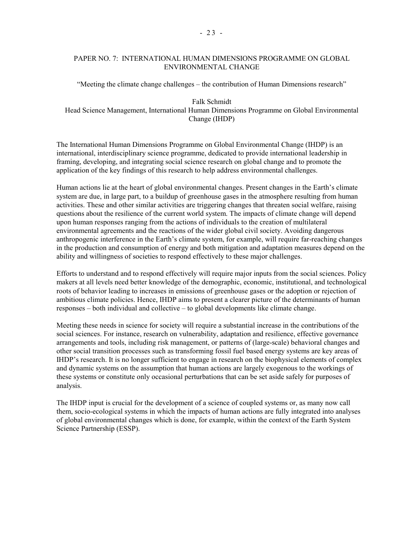### PAPER NO. 7: INTERNATIONAL HUMAN DIMENSIONS PROGRAMME ON GLOBAL ENVIRONMENTAL CHANGE

 $\alpha$ <sup>\*</sup>Meeting the climate change challenges – the contribution of Human Dimensions research<sup>\*\*</sup>

Falk Schmidt Head Science Management, International Human Dimensions Programme on Global Environmental Change (IHDP)

The International Human Dimensions Programme on Global Environmental Change (IHDP) is an international, interdisciplinary science programme, dedicated to provide international leadership in framing, developing, and integrating social science research on global change and to promote the application of the key findings of this research to help address environmental challenges.

Human actions lie at the heart of global environmental changes. Present changes in the Earth's climate system are due, in large part, to a buildup of greenhouse gases in the atmosphere resulting from human activities. These and other similar activities are triggering changes that threaten social welfare, raising questions about the resilience of the current world system. The impacts of climate change will depend upon human responses ranging from the actions of individuals to the creation of multilateral environmental agreements and the reactions of the wider global civil society. Avoiding dangerous anthropogenic interference in the Earth's climate system, for example, will require far-reaching changes in the production and consumption of energy and both mitigation and adaptation measures depend on the ability and willingness of societies to respond effectively to these major challenges.

Efforts to understand and to respond effectively will require major inputs from the social sciences. Policy makers at all levels need better knowledge of the demographic, economic, institutional, and technological roots of behavior leading to increases in emissions of greenhouse gases or the adoption or rejection of ambitious climate policies. Hence, IHDP aims to present a clearer picture of the determinants of human  $resposes - both individual and collective - to global developments like climate change.$ 

Meeting these needs in science for society will require a substantial increase in the contributions of the social sciences. For instance, research on vulnerability, adaptation and resilience, effective governance arrangements and tools, including risk management, or patterns of (large-scale) behavioral changes and other social transition processes such as transforming fossil fuel based energy systems are key areas of IHDP's research. It is no longer sufficient to engage in research on the biophysical elements of complex and dynamic systems on the assumption that human actions are largely exogenous to the workings of these systems or constitute only occasional perturbations that can be set aside safely for purposes of analysis.

The IHDP input is crucial for the development of a science of coupled systems or, as many now call them, socio-ecological systems in which the impacts of human actions are fully integrated into analyses of global environmental changes which is done, for example, within the context of the Earth System Science Partnership (ESSP).